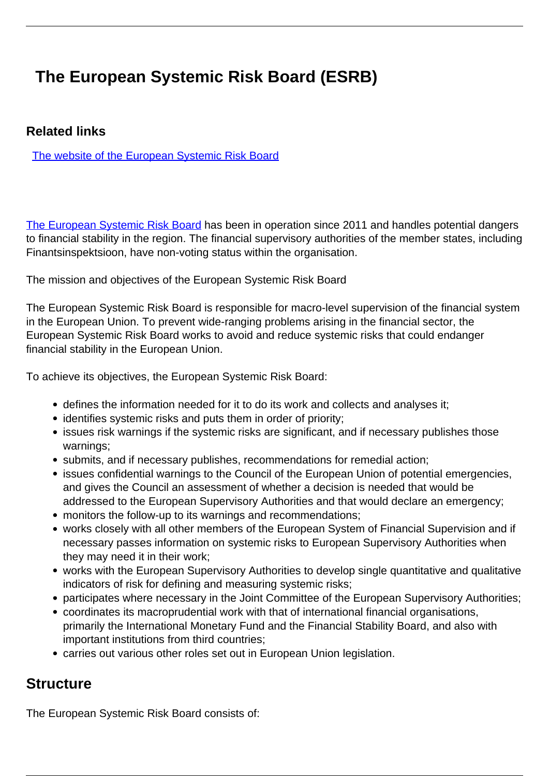## **The European Systemic Risk Board (ESRB)**

## **Related links**

[The website of the European Systemic Risk Board](https://www.esrb.europa.eu/home/html/index.en.html)

[The European Systemic Risk Board](https://www.esrb.europa.eu/home/html/index.en.html) has been in operation since 2011 and handles potential dangers to financial stability in the region. The financial supervisory authorities of the member states, including Finantsinspektsioon, have non-voting status within the organisation.

The mission and objectives of the European Systemic Risk Board

The European Systemic Risk Board is responsible for macro-level supervision of the financial system in the European Union. To prevent wide-ranging problems arising in the financial sector, the European Systemic Risk Board works to avoid and reduce systemic risks that could endanger financial stability in the European Union.

To achieve its objectives, the European Systemic Risk Board:

- defines the information needed for it to do its work and collects and analyses it;
- identifies systemic risks and puts them in order of priority;
- issues risk warnings if the systemic risks are significant, and if necessary publishes those warnings;
- submits, and if necessary publishes, recommendations for remedial action;
- issues confidential warnings to the Council of the European Union of potential emergencies, and gives the Council an assessment of whether a decision is needed that would be addressed to the European Supervisory Authorities and that would declare an emergency;
- monitors the follow-up to its warnings and recommendations;
- works closely with all other members of the European System of Financial Supervision and if necessary passes information on systemic risks to European Supervisory Authorities when they may need it in their work;
- works with the European Supervisory Authorities to develop single quantitative and qualitative indicators of risk for defining and measuring systemic risks;
- participates where necessary in the Joint Committee of the European Supervisory Authorities;
- coordinates its macroprudential work with that of international financial organisations, primarily the International Monetary Fund and the Financial Stability Board, and also with important institutions from third countries;
- carries out various other roles set out in European Union legislation.

## **Structure**

The European Systemic Risk Board consists of: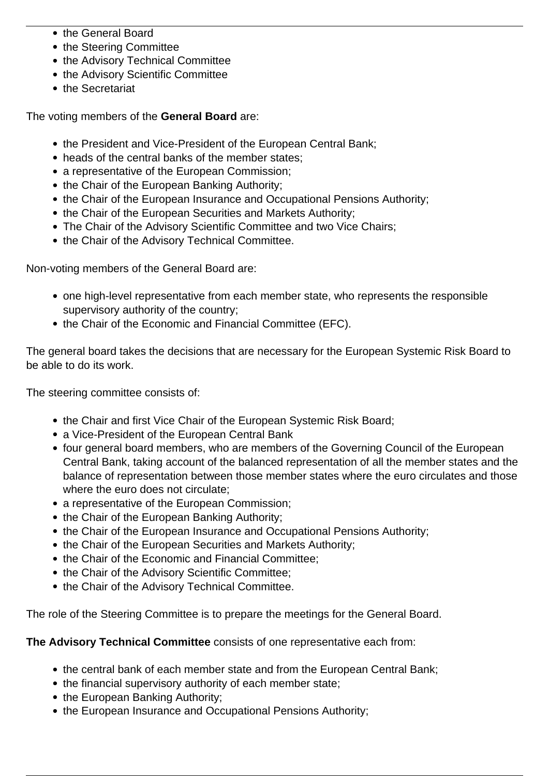- the General Board
- the Steering Committee
- the Advisory Technical Committee
- the Advisory Scientific Committee
- the Secretariat

The voting members of the **General Board** are:

- the President and Vice-President of the European Central Bank;
- heads of the central banks of the member states;
- a representative of the European Commission;
- the Chair of the European Banking Authority;
- the Chair of the European Insurance and Occupational Pensions Authority;
- the Chair of the European Securities and Markets Authority;
- The Chair of the Advisory Scientific Committee and two Vice Chairs;
- the Chair of the Advisory Technical Committee.

Non-voting members of the General Board are:

- one high-level representative from each member state, who represents the responsible supervisory authority of the country;
- the Chair of the Economic and Financial Committee (EFC).

The general board takes the decisions that are necessary for the European Systemic Risk Board to be able to do its work.

The steering committee consists of:

- the Chair and first Vice Chair of the European Systemic Risk Board;
- a Vice-President of the European Central Bank
- four general board members, who are members of the Governing Council of the European Central Bank, taking account of the balanced representation of all the member states and the balance of representation between those member states where the euro circulates and those where the euro does not circulate;
- a representative of the European Commission;
- the Chair of the European Banking Authority;
- the Chair of the European Insurance and Occupational Pensions Authority;
- the Chair of the European Securities and Markets Authority;
- the Chair of the Economic and Financial Committee;
- the Chair of the Advisory Scientific Committee:
- the Chair of the Advisory Technical Committee.

The role of the Steering Committee is to prepare the meetings for the General Board.

**The Advisory Technical Committee** consists of one representative each from:

- the central bank of each member state and from the European Central Bank;
- the financial supervisory authority of each member state;
- the European Banking Authority;
- the European Insurance and Occupational Pensions Authority;